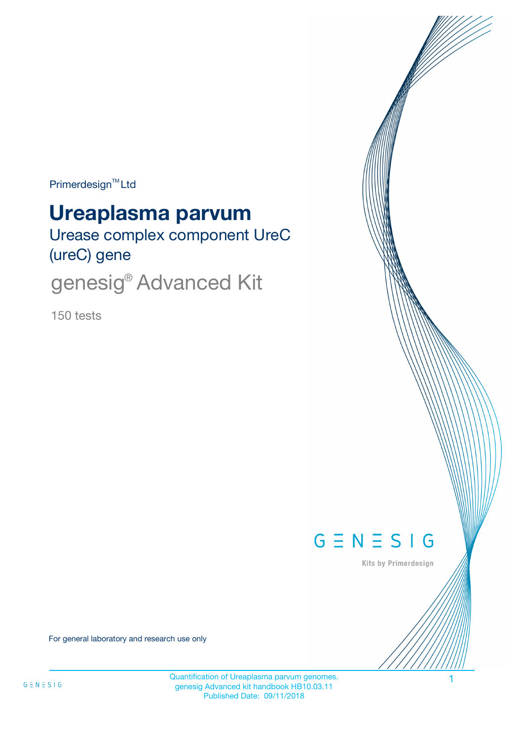Primerdesign<sup>™</sup>Ltd

# **Ureaplasma parvum**

Urease complex component UreC (ureC) gene

genesig<sup>®</sup> Advanced Kit

150 tests



Kits by Primerdesign

For general laboratory and research use only

Quantification of Ureaplasma parvum genomes. 1 genesig Advanced kit handbook HB10.03.11 Published Date: 09/11/2018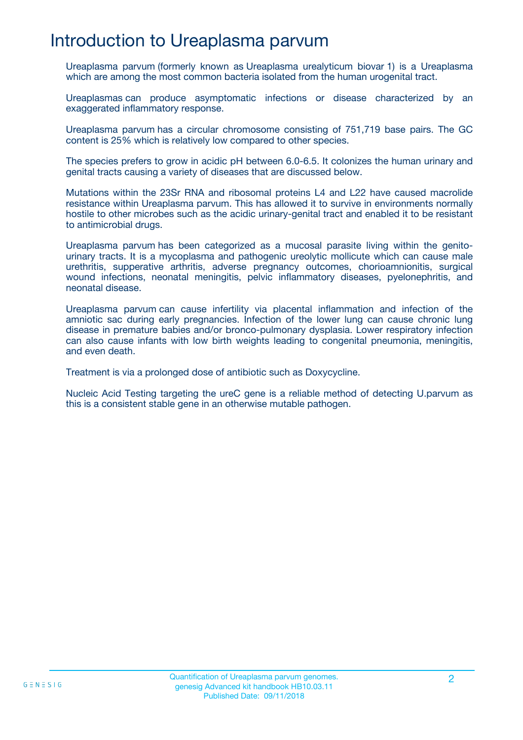## Introduction to Ureaplasma parvum

Ureaplasma parvum (formerly known as Ureaplasma urealyticum biovar 1) is a Ureaplasma which are among the most common bacteria isolated from the human urogenital tract.

Ureaplasmas can produce asymptomatic infections or disease characterized by an exaggerated inflammatory response.

Ureaplasma parvum has a circular chromosome consisting of 751,719 base pairs. The GC content is 25% which is relatively low compared to other species.

The species prefers to grow in acidic pH between 6.0-6.5. It colonizes the human urinary and genital tracts causing a variety of diseases that are discussed below.

Mutations within the 23Sr RNA and ribosomal proteins L4 and L22 have caused macrolide resistance within Ureaplasma parvum. This has allowed it to survive in environments normally hostile to other microbes such as the acidic urinary-genital tract and enabled it to be resistant to antimicrobial drugs.

Ureaplasma parvum has been categorized as a mucosal parasite living within the genitourinary tracts. It is a mycoplasma and pathogenic ureolytic mollicute which can cause male urethritis, supperative arthritis, adverse pregnancy outcomes, chorioamnionitis, surgical wound infections, neonatal meningitis, pelvic inflammatory diseases, pyelonephritis, and neonatal disease.

Ureaplasma parvum can cause infertility via placental inflammation and infection of the amniotic sac during early pregnancies. Infection of the lower lung can cause chronic lung disease in premature babies and/or bronco-pulmonary dysplasia. Lower respiratory infection can also cause infants with low birth weights leading to congenital pneumonia, meningitis, and even death.

Treatment is via a prolonged dose of antibiotic such as Doxycycline.

Nucleic Acid Testing targeting the ureC gene is a reliable method of detecting U.parvum as this is a consistent stable gene in an otherwise mutable pathogen.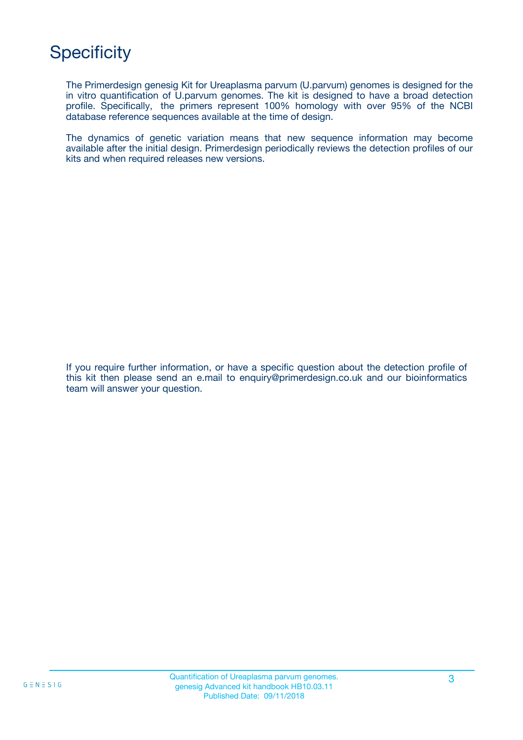## **Specificity**

The Primerdesign genesig Kit for Ureaplasma parvum (U.parvum) genomes is designed for the in vitro quantification of U.parvum genomes. The kit is designed to have a broad detection profile. Specifically, the primers represent 100% homology with over 95% of the NCBI database reference sequences available at the time of design.

The dynamics of genetic variation means that new sequence information may become available after the initial design. Primerdesign periodically reviews the detection profiles of our kits and when required releases new versions.

If you require further information, or have a specific question about the detection profile of this kit then please send an e.mail to enquiry@primerdesign.co.uk and our bioinformatics team will answer your question.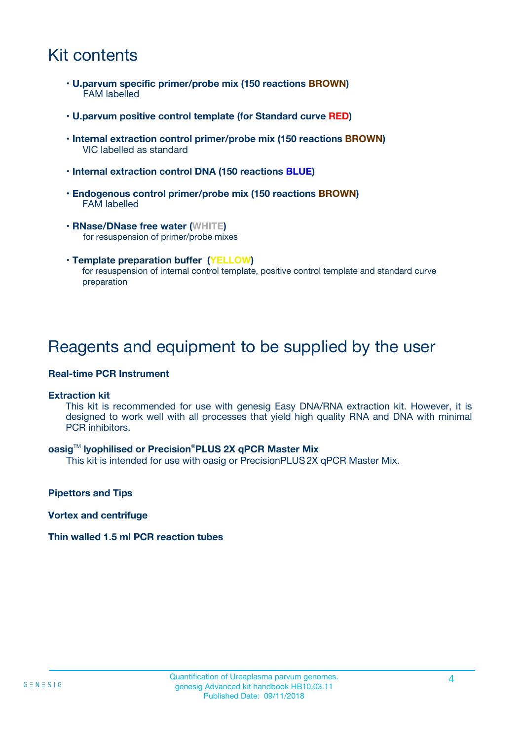## Kit contents

- **U.parvum specific primer/probe mix (150 reactions BROWN)** FAM labelled
- **U.parvum positive control template (for Standard curve RED)**
- **Internal extraction control primer/probe mix (150 reactions BROWN)** VIC labelled as standard
- **Internal extraction control DNA (150 reactions BLUE)**
- **Endogenous control primer/probe mix (150 reactions BROWN)** FAM labelled
- **RNase/DNase free water (WHITE)** for resuspension of primer/probe mixes
- **Template preparation buffer (YELLOW)** for resuspension of internal control template, positive control template and standard curve preparation

### Reagents and equipment to be supplied by the user

#### **Real-time PCR Instrument**

#### **Extraction kit**

This kit is recommended for use with genesig Easy DNA/RNA extraction kit. However, it is designed to work well with all processes that yield high quality RNA and DNA with minimal PCR inhibitors.

#### **oasig**TM **lyophilised or Precision**®**PLUS 2X qPCR Master Mix**

This kit is intended for use with oasig or PrecisionPLUS2X qPCR Master Mix.

**Pipettors and Tips**

**Vortex and centrifuge**

#### **Thin walled 1.5 ml PCR reaction tubes**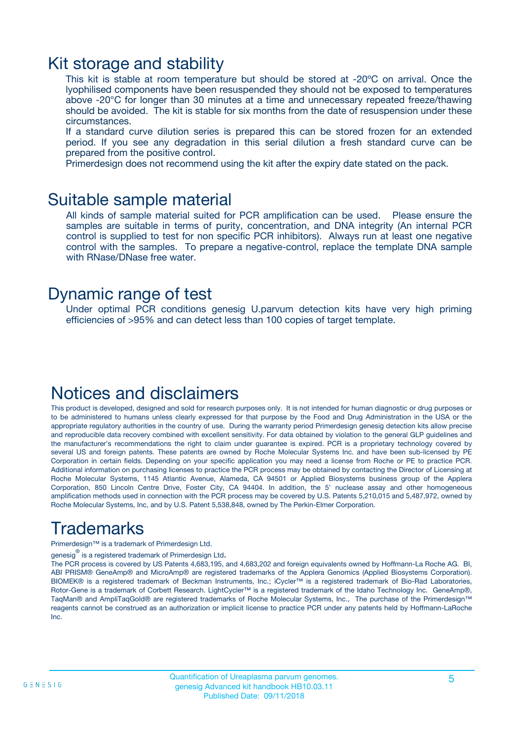### Kit storage and stability

This kit is stable at room temperature but should be stored at -20ºC on arrival. Once the lyophilised components have been resuspended they should not be exposed to temperatures above -20°C for longer than 30 minutes at a time and unnecessary repeated freeze/thawing should be avoided. The kit is stable for six months from the date of resuspension under these circumstances.

If a standard curve dilution series is prepared this can be stored frozen for an extended period. If you see any degradation in this serial dilution a fresh standard curve can be prepared from the positive control.

Primerdesign does not recommend using the kit after the expiry date stated on the pack.

### Suitable sample material

All kinds of sample material suited for PCR amplification can be used. Please ensure the samples are suitable in terms of purity, concentration, and DNA integrity (An internal PCR control is supplied to test for non specific PCR inhibitors). Always run at least one negative control with the samples. To prepare a negative-control, replace the template DNA sample with RNase/DNase free water.

### Dynamic range of test

Under optimal PCR conditions genesig U.parvum detection kits have very high priming efficiencies of >95% and can detect less than 100 copies of target template.

### Notices and disclaimers

This product is developed, designed and sold for research purposes only. It is not intended for human diagnostic or drug purposes or to be administered to humans unless clearly expressed for that purpose by the Food and Drug Administration in the USA or the appropriate regulatory authorities in the country of use. During the warranty period Primerdesign genesig detection kits allow precise and reproducible data recovery combined with excellent sensitivity. For data obtained by violation to the general GLP guidelines and the manufacturer's recommendations the right to claim under guarantee is expired. PCR is a proprietary technology covered by several US and foreign patents. These patents are owned by Roche Molecular Systems Inc. and have been sub-licensed by PE Corporation in certain fields. Depending on your specific application you may need a license from Roche or PE to practice PCR. Additional information on purchasing licenses to practice the PCR process may be obtained by contacting the Director of Licensing at Roche Molecular Systems, 1145 Atlantic Avenue, Alameda, CA 94501 or Applied Biosystems business group of the Applera Corporation, 850 Lincoln Centre Drive, Foster City, CA 94404. In addition, the 5' nuclease assay and other homogeneous amplification methods used in connection with the PCR process may be covered by U.S. Patents 5,210,015 and 5,487,972, owned by Roche Molecular Systems, Inc, and by U.S. Patent 5,538,848, owned by The Perkin-Elmer Corporation.

## Trademarks

Primerdesign™ is a trademark of Primerdesign Ltd.

genesig $^\circledR$  is a registered trademark of Primerdesign Ltd.

The PCR process is covered by US Patents 4,683,195, and 4,683,202 and foreign equivalents owned by Hoffmann-La Roche AG. BI, ABI PRISM® GeneAmp® and MicroAmp® are registered trademarks of the Applera Genomics (Applied Biosystems Corporation). BIOMEK® is a registered trademark of Beckman Instruments, Inc.; iCycler™ is a registered trademark of Bio-Rad Laboratories, Rotor-Gene is a trademark of Corbett Research. LightCycler™ is a registered trademark of the Idaho Technology Inc. GeneAmp®, TaqMan® and AmpliTaqGold® are registered trademarks of Roche Molecular Systems, Inc., The purchase of the Primerdesign™ reagents cannot be construed as an authorization or implicit license to practice PCR under any patents held by Hoffmann-LaRoche Inc.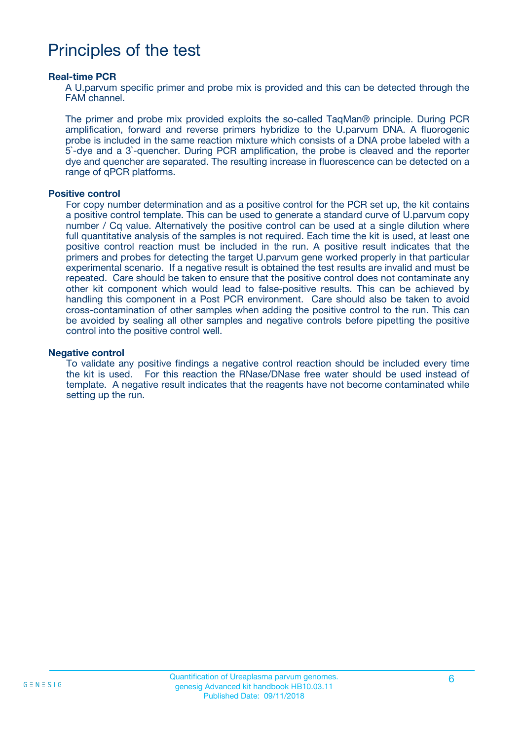### Principles of the test

#### **Real-time PCR**

A U.parvum specific primer and probe mix is provided and this can be detected through the FAM channel.

The primer and probe mix provided exploits the so-called TaqMan® principle. During PCR amplification, forward and reverse primers hybridize to the U.parvum DNA. A fluorogenic probe is included in the same reaction mixture which consists of a DNA probe labeled with a 5`-dye and a 3`-quencher. During PCR amplification, the probe is cleaved and the reporter dye and quencher are separated. The resulting increase in fluorescence can be detected on a range of qPCR platforms.

#### **Positive control**

For copy number determination and as a positive control for the PCR set up, the kit contains a positive control template. This can be used to generate a standard curve of U.parvum copy number / Cq value. Alternatively the positive control can be used at a single dilution where full quantitative analysis of the samples is not required. Each time the kit is used, at least one positive control reaction must be included in the run. A positive result indicates that the primers and probes for detecting the target U.parvum gene worked properly in that particular experimental scenario. If a negative result is obtained the test results are invalid and must be repeated. Care should be taken to ensure that the positive control does not contaminate any other kit component which would lead to false-positive results. This can be achieved by handling this component in a Post PCR environment. Care should also be taken to avoid cross-contamination of other samples when adding the positive control to the run. This can be avoided by sealing all other samples and negative controls before pipetting the positive control into the positive control well.

#### **Negative control**

To validate any positive findings a negative control reaction should be included every time the kit is used. For this reaction the RNase/DNase free water should be used instead of template. A negative result indicates that the reagents have not become contaminated while setting up the run.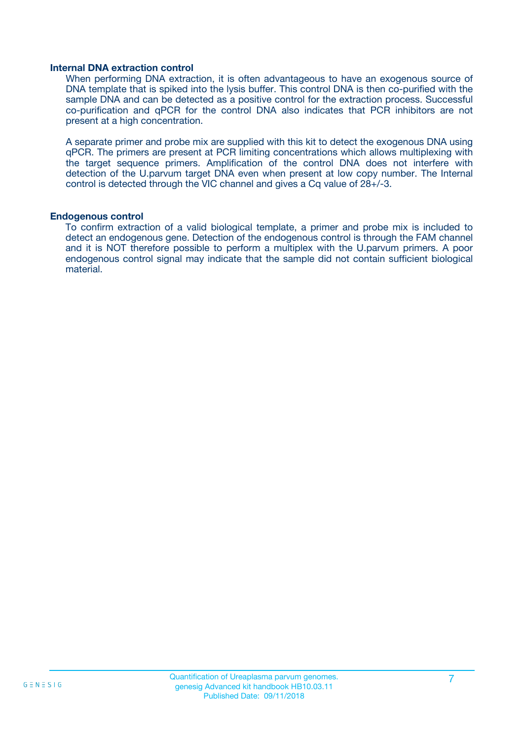#### **Internal DNA extraction control**

When performing DNA extraction, it is often advantageous to have an exogenous source of DNA template that is spiked into the lysis buffer. This control DNA is then co-purified with the sample DNA and can be detected as a positive control for the extraction process. Successful co-purification and qPCR for the control DNA also indicates that PCR inhibitors are not present at a high concentration.

A separate primer and probe mix are supplied with this kit to detect the exogenous DNA using qPCR. The primers are present at PCR limiting concentrations which allows multiplexing with the target sequence primers. Amplification of the control DNA does not interfere with detection of the U.parvum target DNA even when present at low copy number. The Internal control is detected through the VIC channel and gives a Cq value of 28+/-3.

#### **Endogenous control**

To confirm extraction of a valid biological template, a primer and probe mix is included to detect an endogenous gene. Detection of the endogenous control is through the FAM channel and it is NOT therefore possible to perform a multiplex with the U.parvum primers. A poor endogenous control signal may indicate that the sample did not contain sufficient biological material.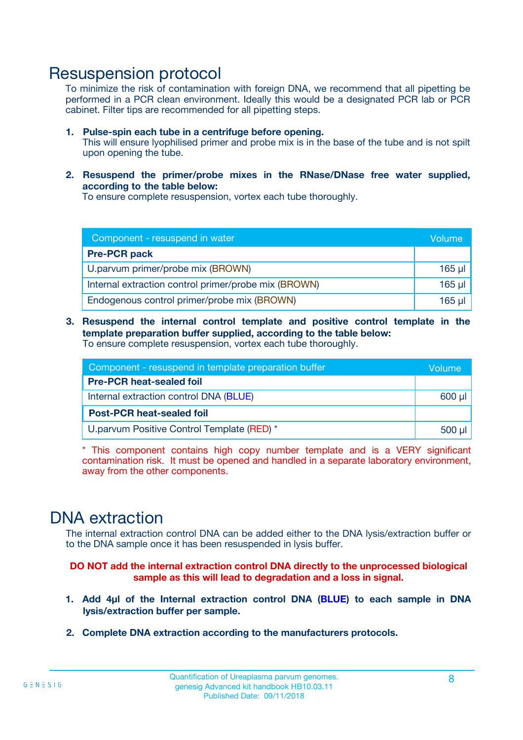### Resuspension protocol

To minimize the risk of contamination with foreign DNA, we recommend that all pipetting be performed in a PCR clean environment. Ideally this would be a designated PCR lab or PCR cabinet. Filter tips are recommended for all pipetting steps.

- **1. Pulse-spin each tube in a centrifuge before opening.** This will ensure lyophilised primer and probe mix is in the base of the tube and is not spilt upon opening the tube.
- **2. Resuspend the primer/probe mixes in the RNase/DNase free water supplied, according to the table below:**

To ensure complete resuspension, vortex each tube thoroughly.

| Component - resuspend in water                       |          |  |
|------------------------------------------------------|----------|--|
| <b>Pre-PCR pack</b>                                  |          |  |
| U.parvum primer/probe mix (BROWN)                    | $165$ µ  |  |
| Internal extraction control primer/probe mix (BROWN) | $165$ µl |  |
| Endogenous control primer/probe mix (BROWN)          | 165 µl   |  |

**3. Resuspend the internal control template and positive control template in the template preparation buffer supplied, according to the table below:** To ensure complete resuspension, vortex each tube thoroughly.

| Component - resuspend in template preparation buffer |  |  |  |
|------------------------------------------------------|--|--|--|
| <b>Pre-PCR heat-sealed foil</b>                      |  |  |  |
| Internal extraction control DNA (BLUE)               |  |  |  |
| <b>Post-PCR heat-sealed foil</b>                     |  |  |  |
| U.parvum Positive Control Template (RED) *           |  |  |  |

\* This component contains high copy number template and is a VERY significant contamination risk. It must be opened and handled in a separate laboratory environment, away from the other components.

### DNA extraction

The internal extraction control DNA can be added either to the DNA lysis/extraction buffer or to the DNA sample once it has been resuspended in lysis buffer.

**DO NOT add the internal extraction control DNA directly to the unprocessed biological sample as this will lead to degradation and a loss in signal.**

- **1. Add 4µl of the Internal extraction control DNA (BLUE) to each sample in DNA lysis/extraction buffer per sample.**
- **2. Complete DNA extraction according to the manufacturers protocols.**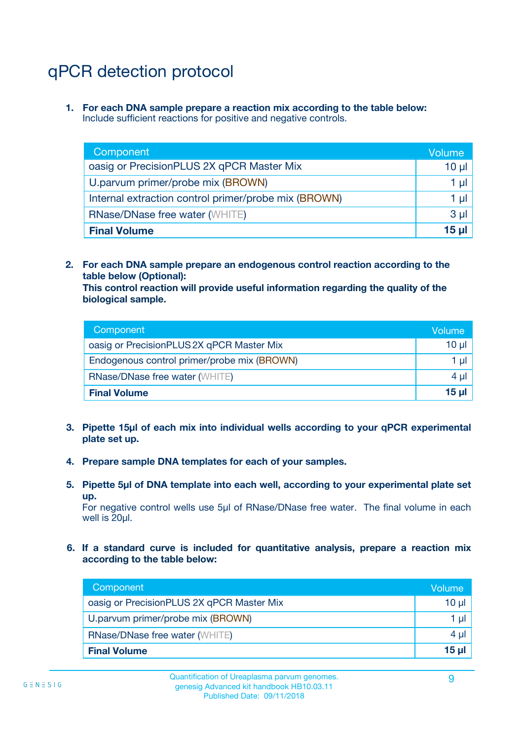## qPCR detection protocol

**1. For each DNA sample prepare a reaction mix according to the table below:** Include sufficient reactions for positive and negative controls.

| Component                                            | Volume   |
|------------------------------------------------------|----------|
| oasig or PrecisionPLUS 2X qPCR Master Mix            | $10 \mu$ |
| U.parvum primer/probe mix (BROWN)                    | 1 µI l   |
| Internal extraction control primer/probe mix (BROWN) | 1 µl     |
| <b>RNase/DNase free water (WHITE)</b>                | $3 \mu$  |
| <b>Final Volume</b>                                  | 15 µl    |

**2. For each DNA sample prepare an endogenous control reaction according to the table below (Optional):**

**This control reaction will provide useful information regarding the quality of the biological sample.**

| Component                                   | Volume   |
|---------------------------------------------|----------|
| oasig or PrecisionPLUS 2X qPCR Master Mix   | $10 \mu$ |
| Endogenous control primer/probe mix (BROWN) | 1 µI     |
| <b>RNase/DNase free water (WHITE)</b>       | $4 \mu$  |
| <b>Final Volume</b>                         | 15 µl    |

- **3. Pipette 15µl of each mix into individual wells according to your qPCR experimental plate set up.**
- **4. Prepare sample DNA templates for each of your samples.**
- **5. Pipette 5µl of DNA template into each well, according to your experimental plate set up.**

For negative control wells use 5µl of RNase/DNase free water. The final volume in each well is 20ul.

**6. If a standard curve is included for quantitative analysis, prepare a reaction mix according to the table below:**

| Component                                 | Volume   |
|-------------------------------------------|----------|
| oasig or PrecisionPLUS 2X qPCR Master Mix | 10 µl    |
| U.parvum primer/probe mix (BROWN)         | 1 µI     |
| <b>RNase/DNase free water (WHITE)</b>     | $4 \mu$  |
| <b>Final Volume</b>                       | $15 \mu$ |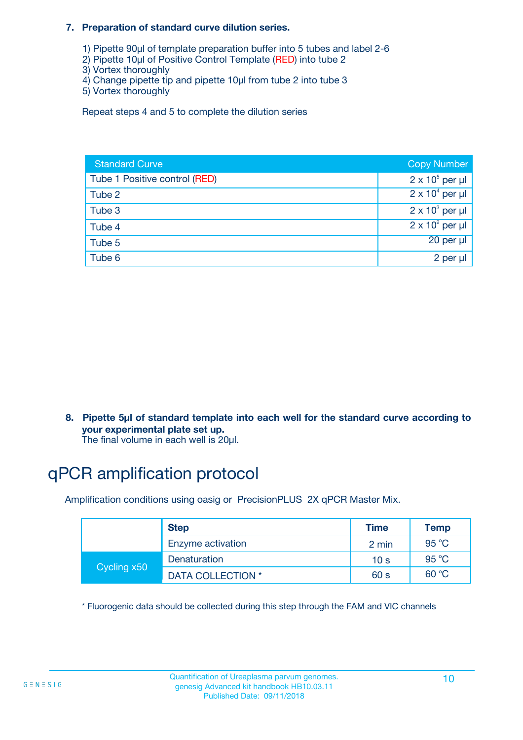#### **7. Preparation of standard curve dilution series.**

- 1) Pipette 90µl of template preparation buffer into 5 tubes and label 2-6
- 2) Pipette 10µl of Positive Control Template (RED) into tube 2
- 3) Vortex thoroughly
- 4) Change pipette tip and pipette 10µl from tube 2 into tube 3
- 5) Vortex thoroughly

Repeat steps 4 and 5 to complete the dilution series

| <b>Standard Curve</b>         | <b>Copy Number</b>     |
|-------------------------------|------------------------|
| Tube 1 Positive control (RED) | $2 \times 10^5$ per µl |
| Tube 2                        | $2 \times 10^4$ per µl |
| Tube 3                        | $2 \times 10^3$ per µl |
| Tube 4                        | $2 \times 10^2$ per µl |
| Tube 5                        | 20 per µl              |
| Tube 6                        | 2 per µl               |

**8. Pipette 5µl of standard template into each well for the standard curve according to your experimental plate set up.**

#### The final volume in each well is 20µl.

## qPCR amplification protocol

Amplification conditions using oasig or PrecisionPLUS 2X qPCR Master Mix.

|             | <b>Step</b>       | <b>Time</b>     | Temp    |
|-------------|-------------------|-----------------|---------|
|             | Enzyme activation | 2 min           | 95 °C   |
| Cycling x50 | Denaturation      | 10 <sub>s</sub> | 95 $°C$ |
|             | DATA COLLECTION * | 60 s            | 60 °C   |

\* Fluorogenic data should be collected during this step through the FAM and VIC channels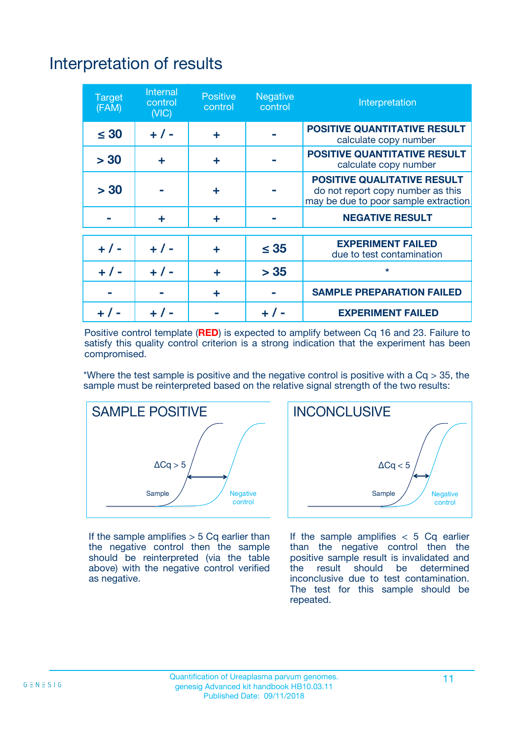## Interpretation of results

| <b>Target</b><br>(FAM) | <b>Internal</b><br>control<br>(NIC) | <b>Positive</b><br>control | <b>Negative</b><br>control | Interpretation                                                                                                  |
|------------------------|-------------------------------------|----------------------------|----------------------------|-----------------------------------------------------------------------------------------------------------------|
| $\leq 30$              | $+ 1 -$                             | ÷                          |                            | <b>POSITIVE QUANTITATIVE RESULT</b><br>calculate copy number                                                    |
| > 30                   | ٠                                   | ÷                          |                            | <b>POSITIVE QUANTITATIVE RESULT</b><br>calculate copy number                                                    |
| > 30                   |                                     | ÷                          |                            | <b>POSITIVE QUALITATIVE RESULT</b><br>do not report copy number as this<br>may be due to poor sample extraction |
|                        | ÷                                   | ÷                          |                            | <b>NEGATIVE RESULT</b>                                                                                          |
| $+ 1 -$                | $+ 1 -$                             | ÷                          | $\leq$ 35                  | <b>EXPERIMENT FAILED</b><br>due to test contamination                                                           |
| $+$ / -                | $+ 1 -$                             | ÷                          | > 35                       | $\star$                                                                                                         |
|                        |                                     | ÷                          |                            | <b>SAMPLE PREPARATION FAILED</b>                                                                                |
|                        |                                     |                            | $+$ /                      | <b>EXPERIMENT FAILED</b>                                                                                        |

Positive control template (**RED**) is expected to amplify between Cq 16 and 23. Failure to satisfy this quality control criterion is a strong indication that the experiment has been compromised.

\*Where the test sample is positive and the negative control is positive with a  $Ca > 35$ , the sample must be reinterpreted based on the relative signal strength of the two results:



If the sample amplifies  $> 5$  Cq earlier than the negative control then the sample should be reinterpreted (via the table above) with the negative control verified as negative.



If the sample amplifies  $< 5$  Cq earlier than the negative control then the positive sample result is invalidated and<br>the result should be determined  $the$  result should be inconclusive due to test contamination. The test for this sample should be repeated.